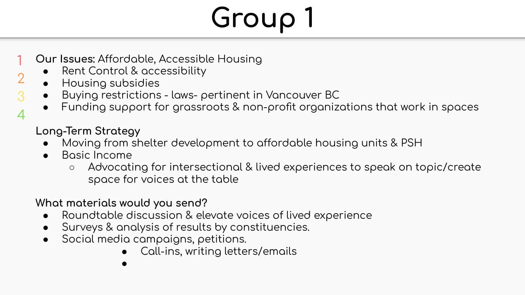- **Our Issues: Affordable, Accessible Housing** 1
	- Rent Control & accessibility
	- Housing subsidies

2

3 4

- Buying restrictions laws- pertinent in Vancouver BC
- Funding support for grassroots & non-profit organizations that work in spaces

#### **Long-Term Strategy**

- Moving from shelter development to affordable housing units & PSH
- Basic Income
	- Advocating for intersectional & lived experiences to speak on topic/create space for voices at the table

#### **What materials would you send?**

- Roundtable discussion & elevate voices of lived experience
- Surveys & analysis of results by constituencies.
- Social media campaigns, petitions.
	- Call-ins, writing letters/emails
	- ●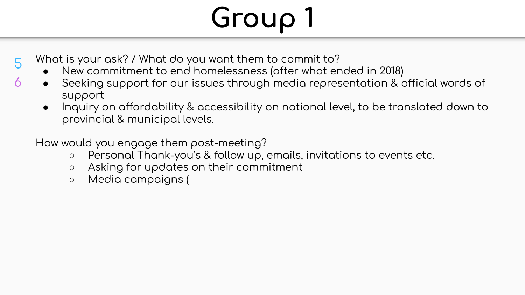- What is your ask? / What do you want them to commit to?
	- New commitment to end homelessness (after what ended in 2018)
	- Seeking support for our issues through media representation & official words of support
	- Inquiry on affordability & accessibility on national level, to be translated down to  $\bullet$ provincial & municipal levels.

How would you engage them post-meeting?

- Personal Thank-you's & follow up, emails, invitations to events etc.  $\circ$
- Asking for updates on their commitment  $\circ$
- Media campaigns (  $\circ$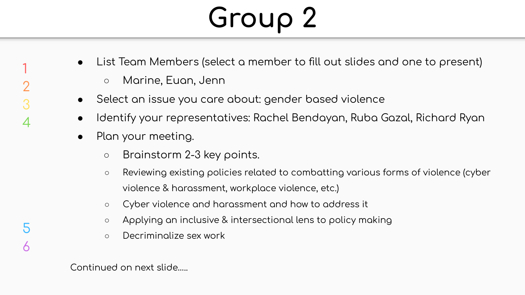- List Team Members (select a member to fill out slides and one to present)
	- Marine, Euan, Jenn
- Select an issue you care about: gender based violence
- Identify your representatives: Rachel Bendayan, Ruba Gazal, Richard Ryan
- Plan your meeting.
	- Brainstorm 2-3 key points.
	- $\circ$  Reviewing existing policies related to combatting various forms of violence (cyber violence & harassment, workplace violence, etc.)
	- Cyber violence and harassment and how to address it
	- $\circ$  Applying an inclusive & intersectional lens to policy making
	- Decriminalize sex work

5

6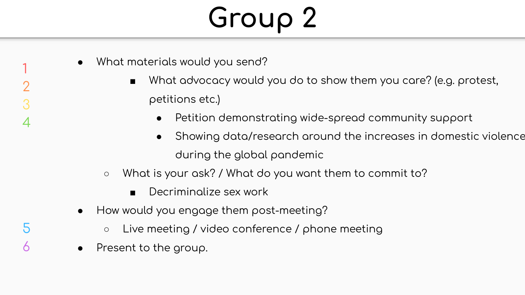- What materials would you send?
	- $\blacksquare$  What advocacy would you do to show them you care? (e.g. protest, petitions etc.)
		- Petition demonstrating wide-spread community support
		- $\bullet$  Showing data/research around the increases in domestic violence during the global pandemic
	- What is your ask? / What do you want them to commit to?
		- Decriminalize sex work
- How would you engage them post-meeting?
	- $\circ$  Live meeting / video conference / phone meeting
- Present to the group.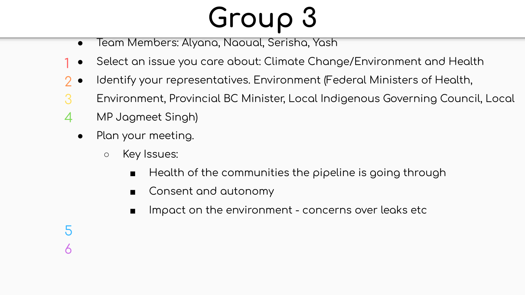- Team Members: Alyana, Naoual, Serisha, Yash  $\bullet$
- Select an issue you care about: Climate Change/Environment and Health
- Identify your representatives. Environment (Federal Ministers of Health,
- Environment, Provincial BC Minister, Local Indigenous Governing Council, Local
- $\boldsymbol{\varDelta}$ MP Jagmeet Singh)
	- Plan your meeting.  $\bullet$ 
		- Key Issues:  $\circ$ 
			- Health of the communities the pipeline is going through  $\blacksquare$
			- Consent and autonomy  $\blacksquare$
			- Impact on the environment concerns over leaks etc  $\blacksquare$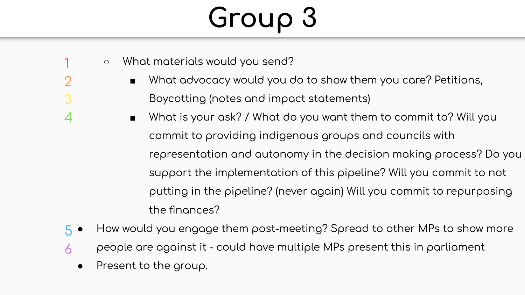- What materials would you send?
	- What advocacy would you do to show them you care? Petitions,
- Boycotting (notes and impact statements)
	- What is your ask? / What do you want them to commit to? Will you commit to providing indigenous groups and councils with representation and autonomy in the decision making process? Do you support the implementation of this pipeline? Will you commit to not putting in the pipeline? (never again) Will you commit to repurposing the finances?
- How would you engage them post-meeting? Spread to other MPs to show more 5
- people are against it could have multiple MPs present this in parliament 6
	- Present to the group.

1

 $\overline{\phantom{0}}$ 

3

4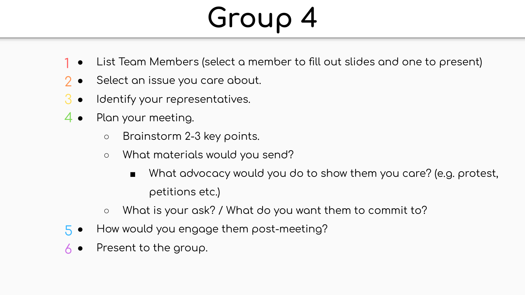- List Team Members (select a member to fill out slides and one to present) 1
- Select an issue you care about. 2
- Identify your representatives. 3
- $4\bullet\quad$  Plan your meeting.
	- Brainstorm 2-3 key points.
	- What materials would you send?
		- $\blacksquare$  What advocacy would you do to show them you care? (e.g. protest, petitions etc.)
	- What is your ask? / What do you want them to commit to?
- How would you engage them post-meeting?  $5<sup>1</sup>$
- Present to the group. 6